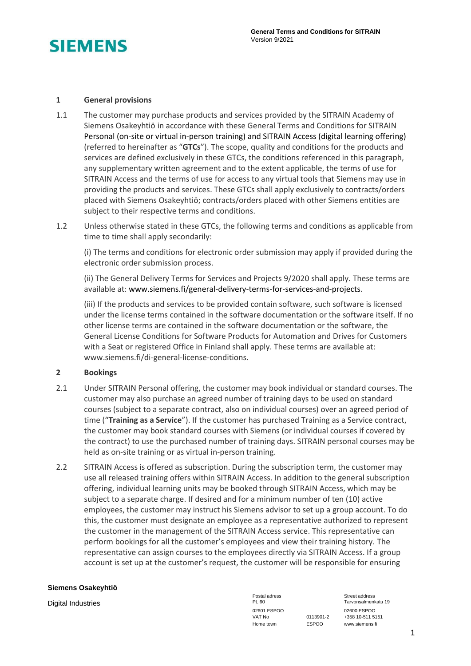

# **1 General provisions**

- 1.1 The customer may purchase products and services provided by the SITRAIN Academy of Siemens Osakeyhtiö in accordance with these General Terms and Conditions for SITRAIN Personal (on-site or virtual in-person training) and SITRAIN Access (digital learning offering) (referred to hereinafter as "**GTCs**"). The scope, quality and conditions for the products and services are defined exclusively in these GTCs, the conditions referenced in this paragraph, any supplementary written agreement and to the extent applicable, the terms of use for SITRAIN Access and the terms of use for access to any virtual tools that Siemens may use in providing the products and services. These GTCs shall apply exclusively to contracts/orders placed with Siemens Osakeyhtiö; contracts/orders placed with other Siemens entities are subject to their respective terms and conditions.
- 1.2 Unless otherwise stated in these GTCs, the following terms and conditions as applicable from time to time shall apply secondarily:

(i) The terms and conditions for electronic order submission may apply if provided during the electronic order submission process.

(ii) The General Delivery Terms for Services and Projects 9/2020 shall apply. These terms are available at: www.siemens.fi/general-delivery-terms-for-services-and-projects.

(iii) If the products and services to be provided contain software, such software is licensed under the license terms contained in the software documentation or the software itself. If no other license terms are contained in the software documentation or the software, the General License Conditions for Software Products for Automation and Drives for Customers with a Seat or registered Office in Finland shall apply. These terms are available at: www.siemens.fi/di-general-license-conditions.

# **2 Bookings**

- 2.1 Under SITRAIN Personal offering, the customer may book individual or standard courses. The customer may also purchase an agreed number of training days to be used on standard courses (subject to a separate contract, also on individual courses) over an agreed period of time ("**Training as a Service**"). If the customer has purchased Training as a Service contract, the customer may book standard courses with Siemens (or individual courses if covered by the contract) to use the purchased number of training days. SITRAIN personal courses may be held as on-site training or as virtual in-person training.
- 2.2 SITRAIN Access is offered as subscription. During the subscription term, the customer may use all released training offers within SITRAIN Access. In addition to the general subscription offering, individual learning units may be booked through SITRAIN Access, which may be subject to a separate charge. If desired and for a minimum number of ten (10) active employees, the customer may instruct his Siemens advisor to set up a group account. To do this, the customer must designate an employee as a representative authorized to represent the customer in the management of the SITRAIN Access service. This representative can perform bookings for all the customer's employees and view their training history. The representative can assign courses to the employees directly via SITRAIN Access. If a group account is set up at the customer's request, the customer will be responsible for ensuring

### **Siemens Osakeyhtiö**

Digital Industries Tarvonsalment PL 60 PL 60 Tarvonsalment PL 60 Tarvonsalment PL 60 Tarvonsalment PL 60 Tarvonsalment PL 60 Tarvonsalment PL 60 Tarvonsalment PL 60 Tarvonsalment PL 60 Tarvonsalment PL 60 Tarvonsalment PL 02601 ESPOO<br>VAT No 0113901-2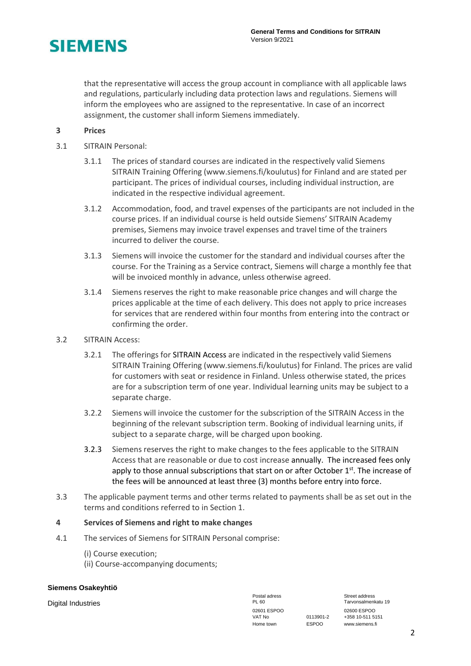

that the representative will access the group account in compliance with all applicable laws and regulations, particularly including data protection laws and regulations. Siemens will inform the employees who are assigned to the representative. In case of an incorrect assignment, the customer shall inform Siemens immediately.

# **3 Prices**

- 3.1 SITRAIN Personal:
	- 3.1.1 The prices of standard courses are indicated in the respectively valid Siemens SITRAIN Training Offering (www.siemens.fi/koulutus) for Finland and are stated per participant. The prices of individual courses, including individual instruction, are indicated in the respective individual agreement.
	- 3.1.2 Accommodation, food, and travel expenses of the participants are not included in the course prices. If an individual course is held outside Siemens' SITRAIN Academy premises, Siemens may invoice travel expenses and travel time of the trainers incurred to deliver the course.
	- 3.1.3 Siemens will invoice the customer for the standard and individual courses after the course. For the Training as a Service contract, Siemens will charge a monthly fee that will be invoiced monthly in advance, unless otherwise agreed.
	- 3.1.4 Siemens reserves the right to make reasonable price changes and will charge the prices applicable at the time of each delivery. This does not apply to price increases for services that are rendered within four months from entering into the contract or confirming the order.
- 3.2 SITRAIN Access:
	- 3.2.1 The offerings for SITRAIN Access are indicated in the respectively valid Siemens SITRAIN Training Offering (www.siemens.fi/koulutus) for Finland. The prices are valid for customers with seat or residence in Finland. Unless otherwise stated, the prices are for a subscription term of one year. Individual learning units may be subject to a separate charge.
	- 3.2.2 Siemens will invoice the customer for the subscription of the SITRAIN Access in the beginning of the relevant subscription term. Booking of individual learning units, if subject to a separate charge, will be charged upon booking.
	- 3.2.3 Siemens reserves the right to make changes to the fees applicable to the SITRAIN Access that are reasonable or due to cost increase annually. The increased fees only apply to those annual subscriptions that start on or after October 1<sup>st</sup>. The increase of the fees will be announced at least three (3) months before entry into force.
- 3.3 The applicable payment terms and other terms related to payments shall be as set out in the terms and conditions referred to in Section 1.

# **4 Services of Siemens and right to make changes**

- 4.1 The services of Siemens for SITRAIN Personal comprise:
	- (i) Course execution;
	- (ii) Course-accompanying documents;

### **Siemens Osakeyhtiö**

Digital Industries PL 60 Tarvonsalmenkatu 19 02601 ESPOO 02600 ESPOO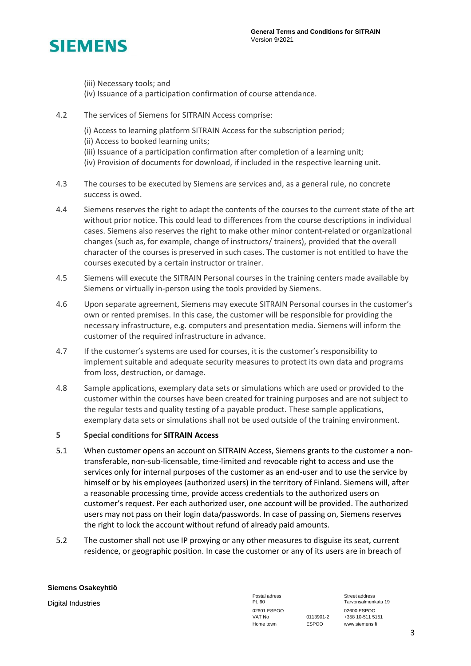

- (iii) Necessary tools; and
- (iv) Issuance of a participation confirmation of course attendance.
- 4.2 The services of Siemens for SITRAIN Access comprise:
	- (i) Access to learning platform SITRAIN Access for the subscription period;
	- (ii) Access to booked learning units;
	- (iii) Issuance of a participation confirmation after completion of a learning unit;
	- (iv) Provision of documents for download, if included in the respective learning unit.
- 4.3 The courses to be executed by Siemens are services and, as a general rule, no concrete success is owed.
- 4.4 Siemens reserves the right to adapt the contents of the courses to the current state of the art without prior notice. This could lead to differences from the course descriptions in individual cases. Siemens also reserves the right to make other minor content-related or organizational changes (such as, for example, change of instructors/ trainers), provided that the overall character of the courses is preserved in such cases. The customer is not entitled to have the courses executed by a certain instructor or trainer.
- 4.5 Siemens will execute the SITRAIN Personal courses in the training centers made available by Siemens or virtually in-person using the tools provided by Siemens.
- 4.6 Upon separate agreement, Siemens may execute SITRAIN Personal courses in the customer's own or rented premises. In this case, the customer will be responsible for providing the necessary infrastructure, e.g. computers and presentation media. Siemens will inform the customer of the required infrastructure in advance.
- 4.7 If the customer's systems are used for courses, it is the customer's responsibility to implement suitable and adequate security measures to protect its own data and programs from loss, destruction, or damage.
- 4.8 Sample applications, exemplary data sets or simulations which are used or provided to the customer within the courses have been created for training purposes and are not subject to the regular tests and quality testing of a payable product. These sample applications, exemplary data sets or simulations shall not be used outside of the training environment.

# **5 Special conditions for SITRAIN Access**

- 5.1 When customer opens an account on SITRAIN Access, Siemens grants to the customer a nontransferable, non-sub-licensable, time-limited and revocable right to access and use the services only for internal purposes of the customer as an end-user and to use the service by himself or by his employees (authorized users) in the territory of Finland. Siemens will, after a reasonable processing time, provide access credentials to the authorized users on customer's request. Per each authorized user, one account will be provided. The authorized users may not pass on their login data/passwords. In case of passing on, Siemens reserves the right to lock the account without refund of already paid amounts.
- 5.2 The customer shall not use IP proxying or any other measures to disguise its seat, current residence, or geographic position. In case the customer or any of its users are in breach of

## **Siemens Osakeyhtiö**

Digital Industries Tarvonsalment PL 60 PL 60 Tarvonsalment PL 60 Tarvonsalment PL 60 Tarvonsalment PL 60 Tarvonsalment PL 60 Tarvonsalment PL 60 Tarvonsalment PL 60 Tarvonsalment PL 60 Tarvonsalment PL 60 Tarvonsalment PL 02601 ESPOO<br>VAT No 0113901-2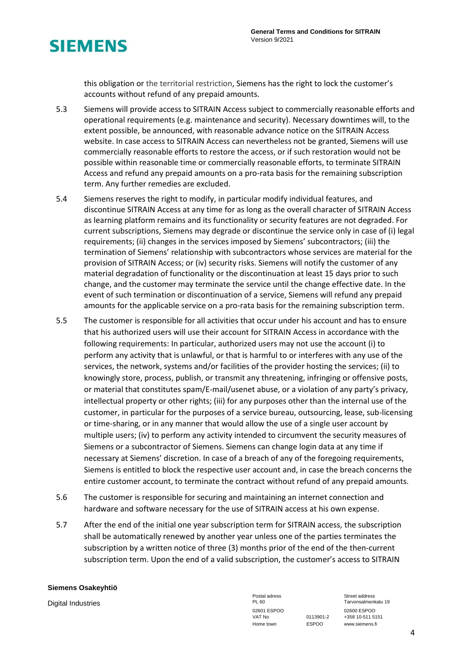

this obligation or the territorial restriction, Siemens has the right to lock the customer's accounts without refund of any prepaid amounts.

- 5.3 Siemens will provide access to SITRAIN Access subject to commercially reasonable efforts and operational requirements (e.g. maintenance and security). Necessary downtimes will, to the extent possible, be announced, with reasonable advance notice on the SITRAIN Access website. In case access to SITRAIN Access can nevertheless not be granted, Siemens will use commercially reasonable efforts to restore the access, or if such restoration would not be possible within reasonable time or commercially reasonable efforts, to terminate SITRAIN Access and refund any prepaid amounts on a pro-rata basis for the remaining subscription term. Any further remedies are excluded.
- 5.4 Siemens reserves the right to modify, in particular modify individual features, and discontinue SITRAIN Access at any time for as long as the overall character of SITRAIN Access as learning platform remains and its functionality or security features are not degraded. For current subscriptions, Siemens may degrade or discontinue the service only in case of (i) legal requirements; (ii) changes in the services imposed by Siemens' subcontractors; (iii) the termination of Siemens' relationship with subcontractors whose services are material for the provision of SITRAIN Access; or (iv) security risks. Siemens will notify the customer of any material degradation of functionality or the discontinuation at least 15 days prior to such change, and the customer may terminate the service until the change effective date. In the event of such termination or discontinuation of a service, Siemens will refund any prepaid amounts for the applicable service on a pro-rata basis for the remaining subscription term.
- 5.5 The customer is responsible for all activities that occur under his account and has to ensure that his authorized users will use their account for SITRAIN Access in accordance with the following requirements: In particular, authorized users may not use the account (i) to perform any activity that is unlawful, or that is harmful to or interferes with any use of the services, the network, systems and/or facilities of the provider hosting the services; (ii) to knowingly store, process, publish, or transmit any threatening, infringing or offensive posts, or material that constitutes spam/E-mail/usenet abuse, or a violation of any party's privacy, intellectual property or other rights; (iii) for any purposes other than the internal use of the customer, in particular for the purposes of a service bureau, outsourcing, lease, sub-licensing or time-sharing, or in any manner that would allow the use of a single user account by multiple users; (iv) to perform any activity intended to circumvent the security measures of Siemens or a subcontractor of Siemens. Siemens can change login data at any time if necessary at Siemens' discretion. In case of a breach of any of the foregoing requirements, Siemens is entitled to block the respective user account and, in case the breach concerns the entire customer account, to terminate the contract without refund of any prepaid amounts.
- 5.6 The customer is responsible for securing and maintaining an internet connection and hardware and software necessary for the use of SITRAIN access at his own expense.
- 5.7 After the end of the initial one year subscription term for SITRAIN access, the subscription shall be automatically renewed by another year unless one of the parties terminates the subscription by a written notice of three (3) months prior of the end of the then-current subscription term. Upon the end of a valid subscription, the customer's access to SITRAIN

### **Siemens Osakeyhtiö**

Digital Industries Tarvonsalment PL 60 PL 60 Tarvonsalment PL 60 Tarvonsalment PL 60 Tarvonsalment PL 60 Tarvonsalment PL 60 Tarvonsalment PL 60 Tarvonsalment PL 60 Tarvonsalment PL 60 Tarvonsalment PL 60 Tarvonsalment PL 02601 ESPOO<br>VAT No 0113901-2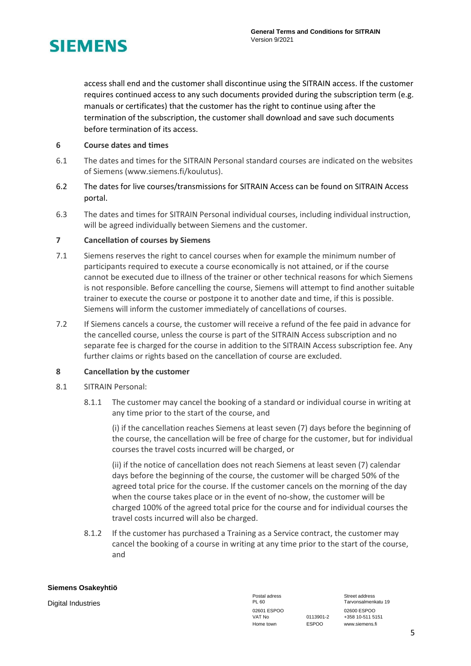

access shall end and the customer shall discontinue using the SITRAIN access. If the customer requires continued access to any such documents provided during the subscription term (e.g. manuals or certificates) that the customer has the right to continue using after the termination of the subscription, the customer shall download and save such documents before termination of its access.

# **6 Course dates and times**

- 6.1 The dates and times for the SITRAIN Personal standard courses are indicated on the websites of Siemens [\(www.siemens.fi/koulutus\)](http://www.siemens.fi/koulutus).
- 6.2 The dates for live courses/transmissions for SITRAIN Access can be found on SITRAIN Access portal.
- 6.3 The dates and times for SITRAIN Personal individual courses, including individual instruction, will be agreed individually between Siemens and the customer.

# **7 Cancellation of courses by Siemens**

- 7.1 Siemens reserves the right to cancel courses when for example the minimum number of participants required to execute a course economically is not attained, or if the course cannot be executed due to illness of the trainer or other technical reasons for which Siemens is not responsible. Before cancelling the course, Siemens will attempt to find another suitable trainer to execute the course or postpone it to another date and time, if this is possible. Siemens will inform the customer immediately of cancellations of courses.
- 7.2 If Siemens cancels a course, the customer will receive a refund of the fee paid in advance for the cancelled course, unless the course is part of the SITRAIN Access subscription and no separate fee is charged for the course in addition to the SITRAIN Access subscription fee. Any further claims or rights based on the cancellation of course are excluded.

# **8 Cancellation by the customer**

- 8.1 SITRAIN Personal:
	- 8.1.1 The customer may cancel the booking of a standard or individual course in writing at any time prior to the start of the course, and

(i) if the cancellation reaches Siemens at least seven (7) days before the beginning of the course, the cancellation will be free of charge for the customer, but for individual courses the travel costs incurred will be charged, or

(ii) if the notice of cancellation does not reach Siemens at least seven (7) calendar days before the beginning of the course, the customer will be charged 50% of the agreed total price for the course. If the customer cancels on the morning of the day when the course takes place or in the event of no-show, the customer will be charged 100% of the agreed total price for the course and for individual courses the travel costs incurred will also be charged.

8.1.2 If the customer has purchased a Training as a Service contract, the customer may cancel the booking of a course in writing at any time prior to the start of the course, and

### **Siemens Osakeyhtiö**

Digital Industries PL 60 Tarvonsalmenkatu 19 02601 ESPOO 02600 ESPOO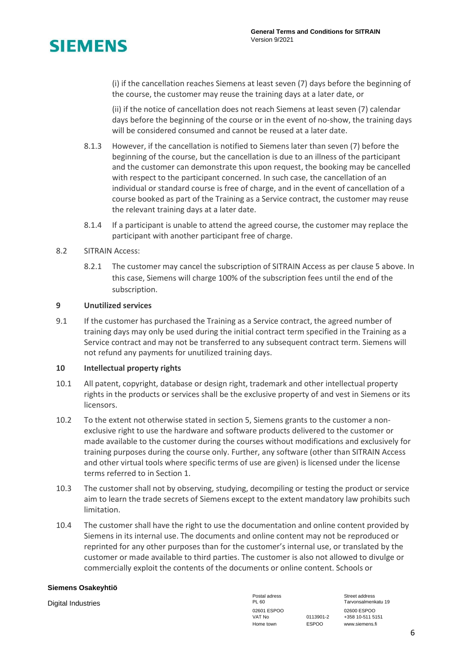

(i) if the cancellation reaches Siemens at least seven (7) days before the beginning of the course, the customer may reuse the training days at a later date, or

(ii) if the notice of cancellation does not reach Siemens at least seven (7) calendar days before the beginning of the course or in the event of no-show, the training days will be considered consumed and cannot be reused at a later date.

- 8.1.3 However, if the cancellation is notified to Siemens later than seven (7) before the beginning of the course, but the cancellation is due to an illness of the participant and the customer can demonstrate this upon request, the booking may be cancelled with respect to the participant concerned. In such case, the cancellation of an individual or standard course is free of charge, and in the event of cancellation of a course booked as part of the Training as a Service contract, the customer may reuse the relevant training days at a later date.
- 8.1.4 If a participant is unable to attend the agreed course, the customer may replace the participant with another participant free of charge.

# 8.2 SITRAIN Access:

8.2.1 The customer may cancel the subscription of SITRAIN Access as per clause 5 above. In this case, Siemens will charge 100% of the subscription fees until the end of the subscription.

# **9 Unutilized services**

9.1 If the customer has purchased the Training as a Service contract, the agreed number of training days may only be used during the initial contract term specified in the Training as a Service contract and may not be transferred to any subsequent contract term. Siemens will not refund any payments for unutilized training days.

# **10 Intellectual property rights**

- 10.1 All patent, copyright, database or design right, trademark and other intellectual property rights in the products or services shall be the exclusive property of and vest in Siemens or its licensors.
- 10.2 To the extent not otherwise stated in section 5, Siemens grants to the customer a nonexclusive right to use the hardware and software products delivered to the customer or made available to the customer during the courses without modifications and exclusively for training purposes during the course only. Further, any software (other than SITRAIN Access and other virtual tools where specific terms of use are given) is licensed under the license terms referred to in Section 1.
- 10.3 The customer shall not by observing, studying, decompiling or testing the product or service aim to learn the trade secrets of Siemens except to the extent mandatory law prohibits such limitation.
- 10.4 The customer shall have the right to use the documentation and online content provided by Siemens in its internal use. The documents and online content may not be reproduced or reprinted for any other purposes than for the customer's internal use, or translated by the customer or made available to third parties. The customer is also not allowed to divulge or commercially exploit the contents of the documents or online content. Schools or

# **Siemens Osakeyhtiö**

Digital Industries Tarvonsalment PL 60 PL 60 Tarvonsalment PL 60 Tarvonsalment PL 60 Tarvonsalment PL 60 Tarvonsalment PL 60 Tarvonsalment PL 60 Tarvonsalment PL 60 Tarvonsalment PL 60 Tarvonsalment PL 60 Tarvonsalment PL 02601 ESPOO<br>VAT No 0113901-2